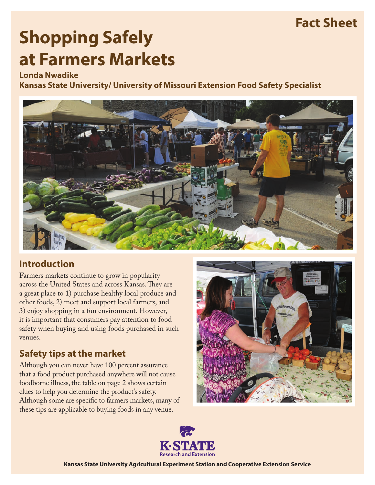# **Fact Sheet**

# **Shopping Safely at Farmers Markets**

#### **Londa Nwadike**

**Kansas State University/ University of Missouri Extension Food Safety Specialist**



### **Introduction**

Farmers markets continue to grow in popularity across the United States and across Kansas. They are a great place to 1) purchase healthy local produce and other foods, 2) meet and support local farmers, and 3) enjoy shopping in a fun environment. However, it is important that consumers pay attention to food safety when buying and using foods purchased in such venues.

## **Safety tips at the market**

Although you can never have 100 percent assurance that a food product purchased anywhere will not cause foodborne illness, the table on page 2 shows certain clues to help you determine the product's safety. Although some are specific to farmers markets, many of these tips are applicable to buying foods in any venue.





**Kansas State University Agricultural Experiment Station and Cooperative Extension Service**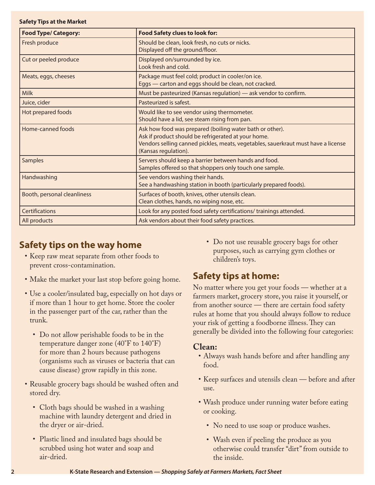#### **Safety Tips at the Market**

| <b>Food Type/ Category:</b> | <b>Food Safety clues to look for:</b>                                                                                                                                                                                        |
|-----------------------------|------------------------------------------------------------------------------------------------------------------------------------------------------------------------------------------------------------------------------|
| Fresh produce               | Should be clean, look fresh, no cuts or nicks.<br>Displayed off the ground/floor.                                                                                                                                            |
| Cut or peeled produce       | Displayed on/surrounded by ice.<br>Look fresh and cold.                                                                                                                                                                      |
| Meats, eggs, cheeses        | Package must feel cold; product in cooler/on ice.<br>Eggs - carton and eggs should be clean, not cracked.                                                                                                                    |
| <b>Milk</b>                 | Must be pasteurized (Kansas regulation) - ask vendor to confirm.                                                                                                                                                             |
| Juice, cider                | Pasteurized is safest.                                                                                                                                                                                                       |
| Hot prepared foods          | Would like to see vendor using thermometer.<br>Should have a lid, see steam rising from pan.                                                                                                                                 |
| Home-canned foods           | Ask how food was prepared (boiling water bath or other).<br>Ask if product should be refrigerated at your home.<br>Vendors selling canned pickles, meats, vegetables, sauerkraut must have a license<br>(Kansas regulation). |
| <b>Samples</b>              | Servers should keep a barrier between hands and food.<br>Samples offered so that shoppers only touch one sample.                                                                                                             |
| Handwashing                 | See vendors washing their hands.<br>See a handwashing station in booth (particularly prepared foods).                                                                                                                        |
| Booth, personal cleanliness | Surfaces of booth, knives, other utensils clean.<br>Clean clothes, hands, no wiping nose, etc.                                                                                                                               |
| <b>Certifications</b>       | Look for any posted food safety certifications/ trainings attended.                                                                                                                                                          |
| All products                | Ask vendors about their food safety practices.                                                                                                                                                                               |

#### **Safety tips on the way home**

- • Keep raw meat separate from other foods to prevent cross-contamination.
- Make the market your last stop before going home.
- Use a cooler/insulated bag, especially on hot days or if more than 1 hour to get home. Store the cooler in the passenger part of the car, rather than the trunk.
	- Do not allow perishable foods to be in the temperature danger zone (40°F to 140°F) for more than 2 hours because pathogens (organisms such as viruses or bacteria that can cause disease) grow rapidly in this zone.
- Reusable grocery bags should be washed often and stored dry.
	- Cloth bags should be washed in a washing machine with laundry detergent and dried in the dryer or air-dried.
	- Plastic lined and insulated bags should be scrubbed using hot water and soap and air-dried.

• Do not use reusable grocery bags for other purposes, such as carrying gym clothes or children's toys.

#### **Safety tips at home:**

No matter where you get your foods — whether at a farmers market, grocery store, you raise it yourself, or from another source — there are certain food safety rules at home that you should always follow to reduce your risk of getting a foodborne illness. They can generally be divided into the following four categories:

#### **Clean:**

- Always wash hands before and after handling any food.
- Keep surfaces and utensils clean before and after use.
- • Wash produce under running water before eating or cooking.
	- No need to use soap or produce washes.
	- Wash even if peeling the produce as you otherwise could transfer "dirt" from outside to the inside.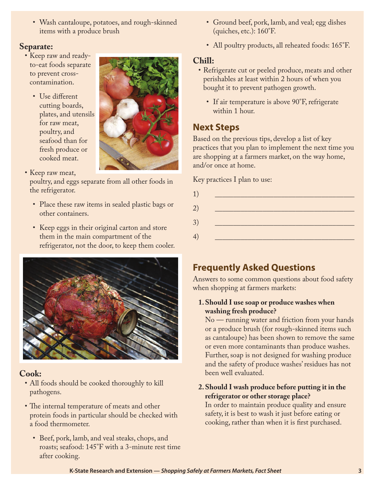• Wash cantaloupe, potatoes, and rough-skinned items with a produce brush

#### **Separate:**

- Keep raw and readyto-eat foods separate to prevent crosscontamination.
	- Use different cutting boards, plates, and utensils for raw meat, poultry, and seafood than for fresh produce or cooked meat.



• Keep raw meat,

poultry, and eggs separate from all other foods in the refrigerator.

- Place these raw items in sealed plastic bags or other containers.
- Keep eggs in their original carton and store them in the main compartment of the refrigerator, not the door, to keep them cooler.



#### **Cook:**

- All foods should be cooked thoroughly to kill pathogens.
- The internal temperature of meats and other protein foods in particular should be checked with a food thermometer.
	- • Beef, pork, lamb, and veal steaks, chops, and roasts; seafood: 145°F with a 3-minute rest time after cooking.
- Ground beef, pork, lamb, and veal; egg dishes (quiches, etc.): 160°F.
- All poultry products, all reheated foods: 165°F.

#### **Chill:**

- Refrigerate cut or peeled produce, meats and other perishables at least within 2 hours of when you bought it to prevent pathogen growth.
	- If air temperature is above 90°F, refrigerate within 1 hour.

#### **Next Steps**

Based on the previous tips, develop a list of key practices that you plan to implement the next time you are shopping at a farmers market, on the way home, and/or once at home.

Key practices I plan to use:

| 1) | the company of the company of the company |
|----|-------------------------------------------|
| 2) |                                           |
| 3) | <u>and the state of the state</u>         |
|    |                                           |
| 4) |                                           |

#### **Frequently Asked Questions**

Answers to some common questions about food safety when shopping at farmers markets:

**1.Should I use soap or produce washes when washing fresh produce?**

No — running water and friction from your hands or a produce brush (for rough-skinned items such as cantaloupe) has been shown to remove the same or even more contaminants than produce washes. Further, soap is not designed for washing produce and the safety of produce washes' residues has not been well evaluated.

#### **2.Should I wash produce before putting it in the refrigerator or other storage place?**

In order to maintain produce quality and ensure safety, it is best to wash it just before eating or cooking, rather than when it is first purchased.